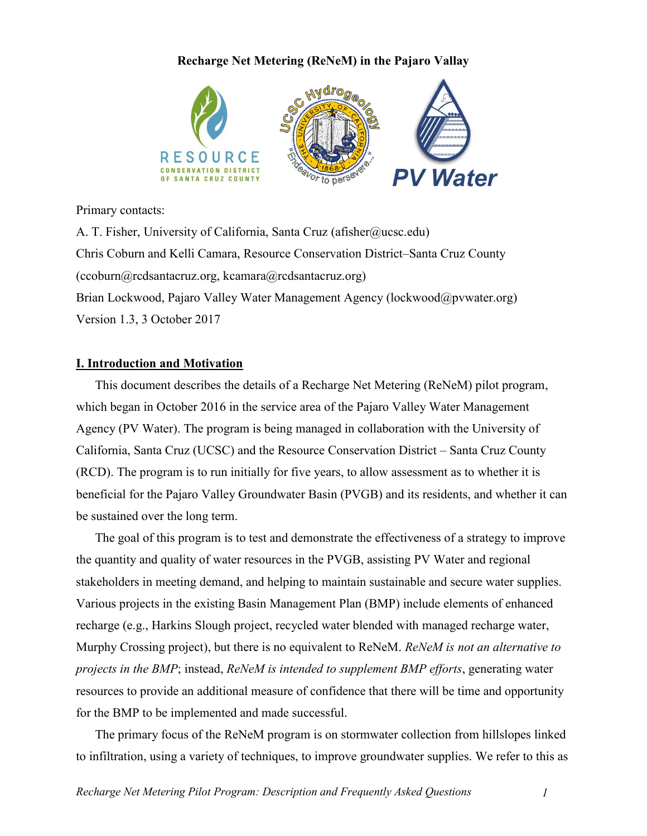# **Recharge Net Metering (ReNeM) in the Pajaro Vallay**



Primary contacts:

A. T. Fisher, University of California, Santa Cruz (afisher@ucsc.edu) Chris Coburn and Kelli Camara, Resource Conservation District–Santa Cruz County (ccoburn@rcdsantacruz.org, kcamara@rcdsantacruz.org) Brian Lockwood, Pajaro Valley Water Management Agency (lockwood@pvwater.org) Version 1.3, 3 October 2017

## **I. Introduction and Motivation**

This document describes the details of a Recharge Net Metering (ReNeM) pilot program, which began in October 2016 in the service area of the Pajaro Valley Water Management Agency (PV Water). The program is being managed in collaboration with the University of California, Santa Cruz (UCSC) and the Resource Conservation District – Santa Cruz County (RCD). The program is to run initially for five years, to allow assessment as to whether it is beneficial for the Pajaro Valley Groundwater Basin (PVGB) and its residents, and whether it can be sustained over the long term.

The goal of this program is to test and demonstrate the effectiveness of a strategy to improve the quantity and quality of water resources in the PVGB, assisting PV Water and regional stakeholders in meeting demand, and helping to maintain sustainable and secure water supplies. Various projects in the existing Basin Management Plan (BMP) include elements of enhanced recharge (e.g., Harkins Slough project, recycled water blended with managed recharge water, Murphy Crossing project), but there is no equivalent to ReNeM. *ReNeM is not an alternative to projects in the BMP*; instead, *ReNeM is intended to supplement BMP efforts*, generating water resources to provide an additional measure of confidence that there will be time and opportunity for the BMP to be implemented and made successful.

The primary focus of the ReNeM program is on stormwater collection from hillslopes linked to infiltration, using a variety of techniques, to improve groundwater supplies. We refer to this as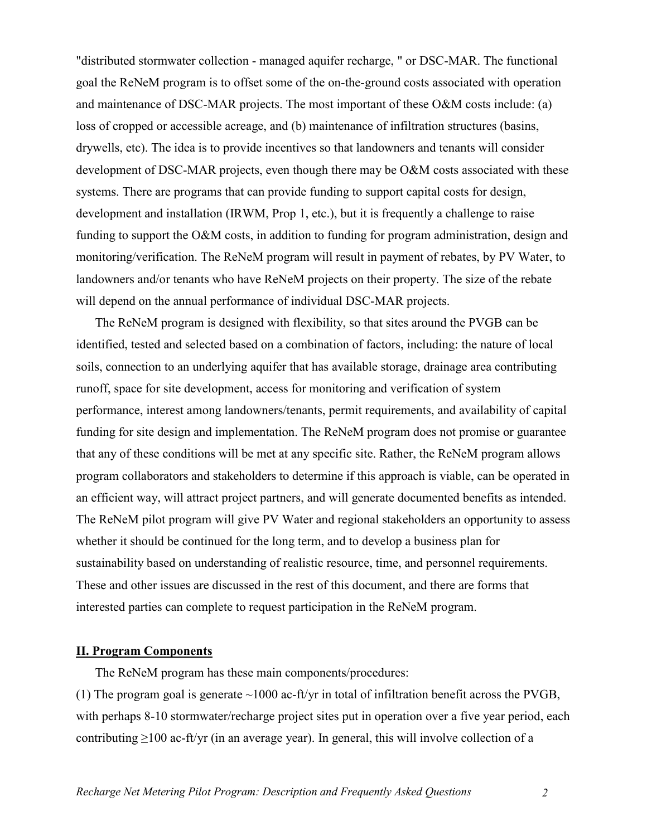"distributed stormwater collection - managed aquifer recharge, " or DSC-MAR. The functional goal the ReNeM program is to offset some of the on-the-ground costs associated with operation and maintenance of DSC-MAR projects. The most important of these O&M costs include: (a) loss of cropped or accessible acreage, and (b) maintenance of infiltration structures (basins, drywells, etc). The idea is to provide incentives so that landowners and tenants will consider development of DSC-MAR projects, even though there may be O&M costs associated with these systems. There are programs that can provide funding to support capital costs for design, development and installation (IRWM, Prop 1, etc.), but it is frequently a challenge to raise funding to support the O&M costs, in addition to funding for program administration, design and monitoring/verification. The ReNeM program will result in payment of rebates, by PV Water, to landowners and/or tenants who have ReNeM projects on their property. The size of the rebate will depend on the annual performance of individual DSC-MAR projects.

The ReNeM program is designed with flexibility, so that sites around the PVGB can be identified, tested and selected based on a combination of factors, including: the nature of local soils, connection to an underlying aquifer that has available storage, drainage area contributing runoff, space for site development, access for monitoring and verification of system performance, interest among landowners/tenants, permit requirements, and availability of capital funding for site design and implementation. The ReNeM program does not promise or guarantee that any of these conditions will be met at any specific site. Rather, the ReNeM program allows program collaborators and stakeholders to determine if this approach is viable, can be operated in an efficient way, will attract project partners, and will generate documented benefits as intended. The ReNeM pilot program will give PV Water and regional stakeholders an opportunity to assess whether it should be continued for the long term, and to develop a business plan for sustainability based on understanding of realistic resource, time, and personnel requirements. These and other issues are discussed in the rest of this document, and there are forms that interested parties can complete to request participation in the ReNeM program.

# **II. Program Components**

The ReNeM program has these main components/procedures:

(1) The program goal is generate  $\sim$ 1000 ac-ft/yr in total of infiltration benefit across the PVGB, with perhaps 8-10 stormwater/recharge project sites put in operation over a five year period, each contributing ≥100 ac-ft/yr (in an average year). In general, this will involve collection of a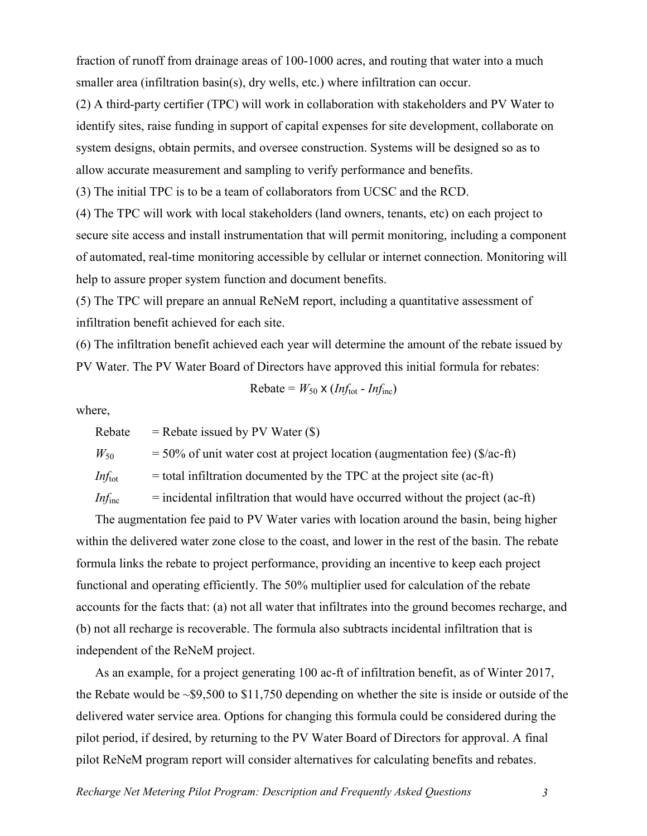fraction of runoff from drainage areas of 100-1000 acres, and routing that water into a much smaller area (infiltration basin(s), dry wells, etc.) where infiltration can occur.

(2) A third-party certifier (TPC) will work in collaboration with stakeholders and PV Water to identify sites, raise funding in support of capital expenses for site development, collaborate on system designs, obtain permits, and oversee construction. Systems will be designed so as to allow accurate measurement and sampling to verify performance and benefits.

(3) The initial TPC is to be a team of collaborators from UCSC and the RCD.

(4) The TPC will work with local stakeholders (land owners, tenants, etc) on each project to secure site access and install instrumentation that will permit monitoring, including a component of automated, real-time monitoring accessible by cellular or internet connection. Monitoring will help to assure proper system function and document benefits.

(5) The TPC will prepare an annual ReNeM report, including a quantitative assessment of infiltration benefit achieved for each site.

(6) The infiltration benefit achieved each year will determine the amount of the rebate issued by PV Water. The PV Water Board of Directors have approved this initial formula for rebates:

Rebate =  $W_{50}$  x (*Inf*<sub>tot</sub> - *Inf*<sub>inc</sub>)

where,

Rebate  $=$  Rebate issued by PV Water  $(\$)$  $W_{50}$  = 50% of unit water cost at project location (augmentation fee) (\$/ac-ft) *Inf*<sub>tot</sub>  $=$  total infiltration documented by the TPC at the project site (ac-ft) *Inf*<sub>inc</sub>  $=$  incidental infiltration that would have occurred without the project (ac-ft)

The augmentation fee paid to PV Water varies with location around the basin, being higher within the delivered water zone close to the coast, and lower in the rest of the basin. The rebate formula links the rebate to project performance, providing an incentive to keep each project functional and operating efficiently. The 50% multiplier used for calculation of the rebate accounts for the facts that: (a) not all water that infiltrates into the ground becomes recharge, and (b) not all recharge is recoverable. The formula also subtracts incidental infiltration that is independent of the ReNeM project.

As an example, for a project generating 100 ac-ft of infiltration benefit, as of Winter 2017, the Rebate would be ~\$9,500 to \$11,750 depending on whether the site is inside or outside of the delivered water service area. Options for changing this formula could be considered during the pilot period, if desired, by returning to the PV Water Board of Directors for approval. A final pilot ReNeM program report will consider alternatives for calculating benefits and rebates.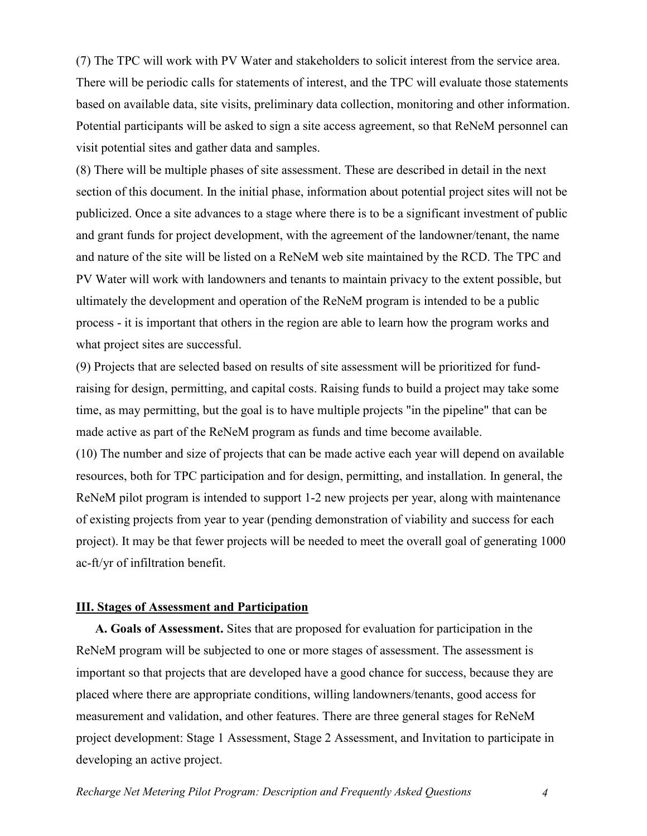(7) The TPC will work with PV Water and stakeholders to solicit interest from the service area. There will be periodic calls for statements of interest, and the TPC will evaluate those statements based on available data, site visits, preliminary data collection, monitoring and other information. Potential participants will be asked to sign a site access agreement, so that ReNeM personnel can visit potential sites and gather data and samples.

(8) There will be multiple phases of site assessment. These are described in detail in the next section of this document. In the initial phase, information about potential project sites will not be publicized. Once a site advances to a stage where there is to be a significant investment of public and grant funds for project development, with the agreement of the landowner/tenant, the name and nature of the site will be listed on a ReNeM web site maintained by the RCD. The TPC and PV Water will work with landowners and tenants to maintain privacy to the extent possible, but ultimately the development and operation of the ReNeM program is intended to be a public process - it is important that others in the region are able to learn how the program works and what project sites are successful.

(9) Projects that are selected based on results of site assessment will be prioritized for fundraising for design, permitting, and capital costs. Raising funds to build a project may take some time, as may permitting, but the goal is to have multiple projects "in the pipeline" that can be made active as part of the ReNeM program as funds and time become available.

(10) The number and size of projects that can be made active each year will depend on available resources, both for TPC participation and for design, permitting, and installation. In general, the ReNeM pilot program is intended to support 1-2 new projects per year, along with maintenance of existing projects from year to year (pending demonstration of viability and success for each project). It may be that fewer projects will be needed to meet the overall goal of generating 1000 ac-ft/yr of infiltration benefit.

## **III. Stages of Assessment and Participation**

**A. Goals of Assessment.** Sites that are proposed for evaluation for participation in the ReNeM program will be subjected to one or more stages of assessment. The assessment is important so that projects that are developed have a good chance for success, because they are placed where there are appropriate conditions, willing landowners/tenants, good access for measurement and validation, and other features. There are three general stages for ReNeM project development: Stage 1 Assessment, Stage 2 Assessment, and Invitation to participate in developing an active project.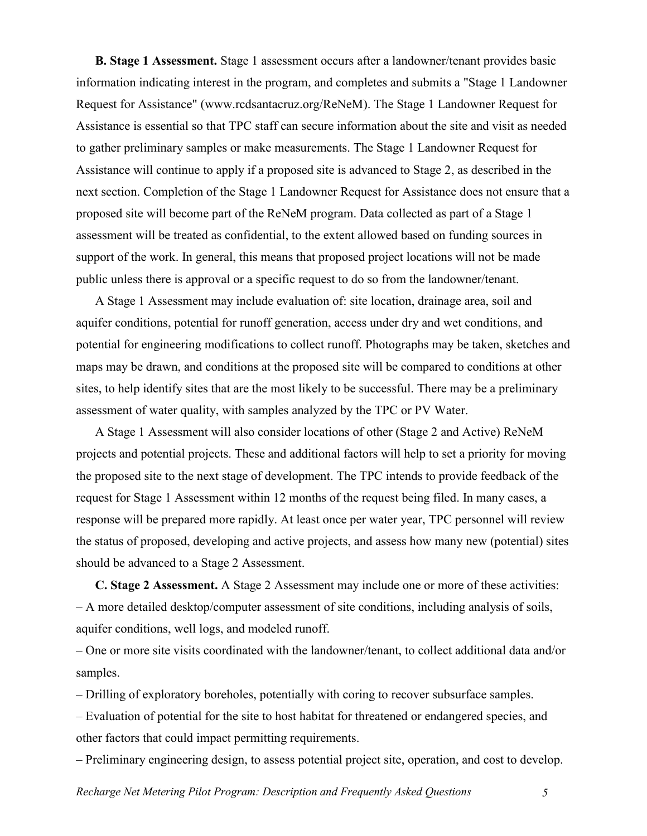**B. Stage 1 Assessment.** Stage 1 assessment occurs after a landowner/tenant provides basic information indicating interest in the program, and completes and submits a "Stage 1 Landowner Request for Assistance" (www.rcdsantacruz.org/ReNeM). The Stage 1 Landowner Request for Assistance is essential so that TPC staff can secure information about the site and visit as needed to gather preliminary samples or make measurements. The Stage 1 Landowner Request for Assistance will continue to apply if a proposed site is advanced to Stage 2, as described in the next section. Completion of the Stage 1 Landowner Request for Assistance does not ensure that a proposed site will become part of the ReNeM program. Data collected as part of a Stage 1 assessment will be treated as confidential, to the extent allowed based on funding sources in support of the work. In general, this means that proposed project locations will not be made public unless there is approval or a specific request to do so from the landowner/tenant.

A Stage 1 Assessment may include evaluation of: site location, drainage area, soil and aquifer conditions, potential for runoff generation, access under dry and wet conditions, and potential for engineering modifications to collect runoff. Photographs may be taken, sketches and maps may be drawn, and conditions at the proposed site will be compared to conditions at other sites, to help identify sites that are the most likely to be successful. There may be a preliminary assessment of water quality, with samples analyzed by the TPC or PV Water.

A Stage 1 Assessment will also consider locations of other (Stage 2 and Active) ReNeM projects and potential projects. These and additional factors will help to set a priority for moving the proposed site to the next stage of development. The TPC intends to provide feedback of the request for Stage 1 Assessment within 12 months of the request being filed. In many cases, a response will be prepared more rapidly. At least once per water year, TPC personnel will review the status of proposed, developing and active projects, and assess how many new (potential) sites should be advanced to a Stage 2 Assessment.

**C. Stage 2 Assessment.** A Stage 2 Assessment may include one or more of these activities: – A more detailed desktop/computer assessment of site conditions, including analysis of soils, aquifer conditions, well logs, and modeled runoff.

– One or more site visits coordinated with the landowner/tenant, to collect additional data and/or samples.

– Drilling of exploratory boreholes, potentially with coring to recover subsurface samples.

– Evaluation of potential for the site to host habitat for threatened or endangered species, and other factors that could impact permitting requirements.

– Preliminary engineering design, to assess potential project site, operation, and cost to develop.

*Recharge Net Metering Pilot Program: Description and Frequently Asked Questions 5*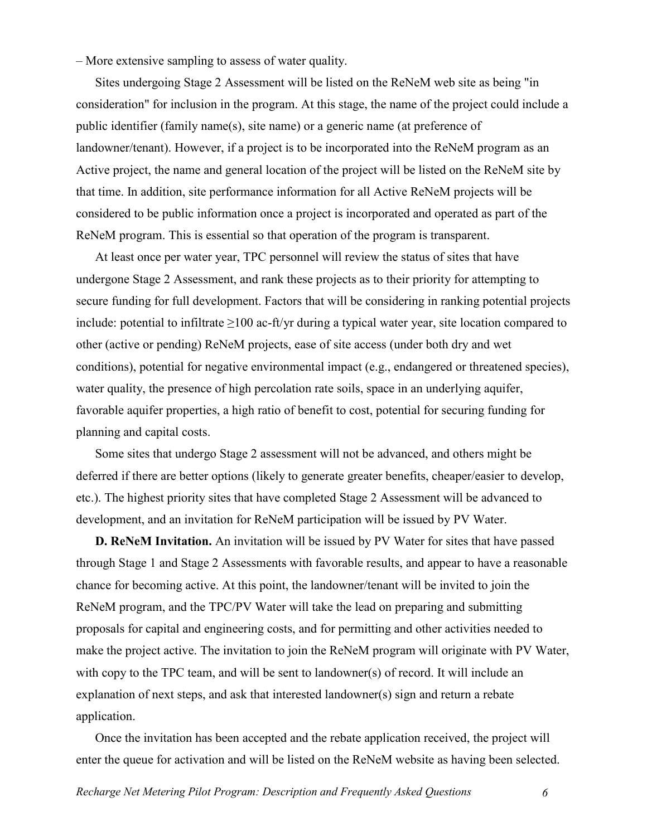– More extensive sampling to assess of water quality.

Sites undergoing Stage 2 Assessment will be listed on the ReNeM web site as being "in consideration" for inclusion in the program. At this stage, the name of the project could include a public identifier (family name(s), site name) or a generic name (at preference of landowner/tenant). However, if a project is to be incorporated into the ReNeM program as an Active project, the name and general location of the project will be listed on the ReNeM site by that time. In addition, site performance information for all Active ReNeM projects will be considered to be public information once a project is incorporated and operated as part of the ReNeM program. This is essential so that operation of the program is transparent.

At least once per water year, TPC personnel will review the status of sites that have undergone Stage 2 Assessment, and rank these projects as to their priority for attempting to secure funding for full development. Factors that will be considering in ranking potential projects include: potential to infiltrate  $\geq 100$  ac-ft/yr during a typical water year, site location compared to other (active or pending) ReNeM projects, ease of site access (under both dry and wet conditions), potential for negative environmental impact (e.g., endangered or threatened species), water quality, the presence of high percolation rate soils, space in an underlying aquifer, favorable aquifer properties, a high ratio of benefit to cost, potential for securing funding for planning and capital costs.

Some sites that undergo Stage 2 assessment will not be advanced, and others might be deferred if there are better options (likely to generate greater benefits, cheaper/easier to develop, etc.). The highest priority sites that have completed Stage 2 Assessment will be advanced to development, and an invitation for ReNeM participation will be issued by PV Water.

**D. ReNeM Invitation.** An invitation will be issued by PV Water for sites that have passed through Stage 1 and Stage 2 Assessments with favorable results, and appear to have a reasonable chance for becoming active. At this point, the landowner/tenant will be invited to join the ReNeM program, and the TPC/PV Water will take the lead on preparing and submitting proposals for capital and engineering costs, and for permitting and other activities needed to make the project active. The invitation to join the ReNeM program will originate with PV Water, with copy to the TPC team, and will be sent to landowner(s) of record. It will include an explanation of next steps, and ask that interested landowner(s) sign and return a rebate application.

Once the invitation has been accepted and the rebate application received, the project will enter the queue for activation and will be listed on the ReNeM website as having been selected.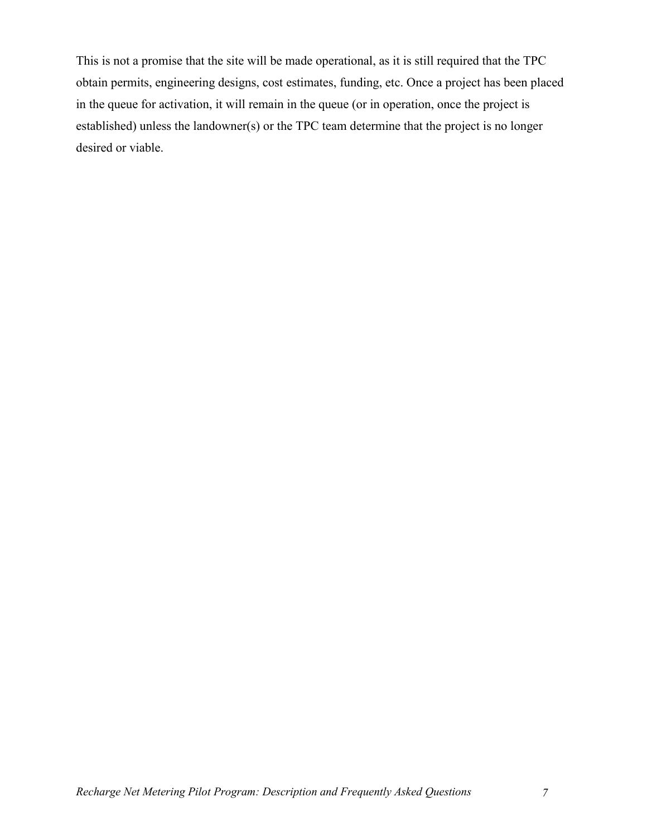This is not a promise that the site will be made operational, as it is still required that the TPC obtain permits, engineering designs, cost estimates, funding, etc. Once a project has been placed in the queue for activation, it will remain in the queue (or in operation, once the project is established) unless the landowner(s) or the TPC team determine that the project is no longer desired or viable.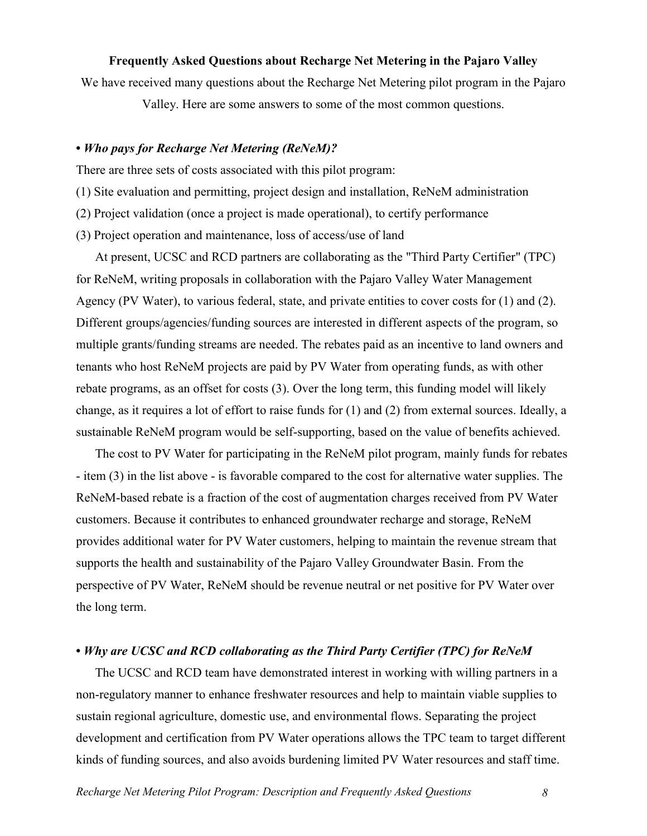## **Frequently Asked Questions about Recharge Net Metering in the Pajaro Valley**

We have received many questions about the Recharge Net Metering pilot program in the Pajaro

Valley. Here are some answers to some of the most common questions.

#### **•** *Who pays for Recharge Net Metering (ReNeM)?*

There are three sets of costs associated with this pilot program:

- (1) Site evaluation and permitting, project design and installation, ReNeM administration
- (2) Project validation (once a project is made operational), to certify performance
- (3) Project operation and maintenance, loss of access/use of land

At present, UCSC and RCD partners are collaborating as the "Third Party Certifier" (TPC) for ReNeM, writing proposals in collaboration with the Pajaro Valley Water Management Agency (PV Water), to various federal, state, and private entities to cover costs for (1) and (2). Different groups/agencies/funding sources are interested in different aspects of the program, so multiple grants/funding streams are needed. The rebates paid as an incentive to land owners and tenants who host ReNeM projects are paid by PV Water from operating funds, as with other rebate programs, as an offset for costs (3). Over the long term, this funding model will likely change, as it requires a lot of effort to raise funds for (1) and (2) from external sources. Ideally, a sustainable ReNeM program would be self-supporting, based on the value of benefits achieved.

The cost to PV Water for participating in the ReNeM pilot program, mainly funds for rebates - item (3) in the list above - is favorable compared to the cost for alternative water supplies. The ReNeM-based rebate is a fraction of the cost of augmentation charges received from PV Water customers. Because it contributes to enhanced groundwater recharge and storage, ReNeM provides additional water for PV Water customers, helping to maintain the revenue stream that supports the health and sustainability of the Pajaro Valley Groundwater Basin. From the perspective of PV Water, ReNeM should be revenue neutral or net positive for PV Water over the long term.

## **•** *Why are UCSC and RCD collaborating as the Third Party Certifier (TPC) for ReNeM*

The UCSC and RCD team have demonstrated interest in working with willing partners in a non-regulatory manner to enhance freshwater resources and help to maintain viable supplies to sustain regional agriculture, domestic use, and environmental flows. Separating the project development and certification from PV Water operations allows the TPC team to target different kinds of funding sources, and also avoids burdening limited PV Water resources and staff time.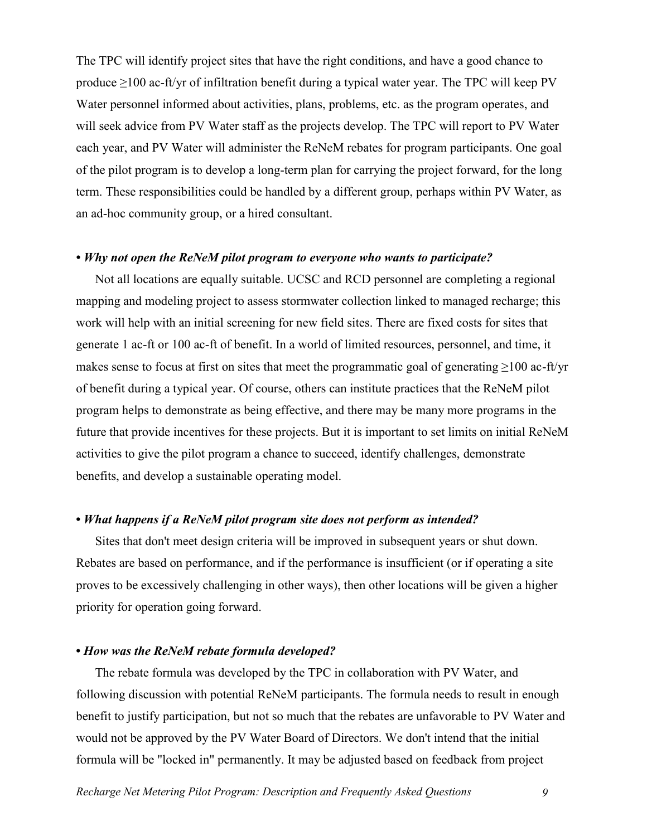The TPC will identify project sites that have the right conditions, and have a good chance to produce  $\geq$ 100 ac-ft/yr of infiltration benefit during a typical water year. The TPC will keep PV Water personnel informed about activities, plans, problems, etc. as the program operates, and will seek advice from PV Water staff as the projects develop. The TPC will report to PV Water each year, and PV Water will administer the ReNeM rebates for program participants. One goal of the pilot program is to develop a long-term plan for carrying the project forward, for the long term. These responsibilities could be handled by a different group, perhaps within PV Water, as an ad-hoc community group, or a hired consultant.

#### *• Why not open the ReNeM pilot program to everyone who wants to participate?*

Not all locations are equally suitable. UCSC and RCD personnel are completing a regional mapping and modeling project to assess stormwater collection linked to managed recharge; this work will help with an initial screening for new field sites. There are fixed costs for sites that generate 1 ac-ft or 100 ac-ft of benefit. In a world of limited resources, personnel, and time, it makes sense to focus at first on sites that meet the programmatic goal of generating ≥100 ac-ft/yr of benefit during a typical year. Of course, others can institute practices that the ReNeM pilot program helps to demonstrate as being effective, and there may be many more programs in the future that provide incentives for these projects. But it is important to set limits on initial ReNeM activities to give the pilot program a chance to succeed, identify challenges, demonstrate benefits, and develop a sustainable operating model.

# **•** *What happens if a ReNeM pilot program site does not perform as intended?*

Sites that don't meet design criteria will be improved in subsequent years or shut down. Rebates are based on performance, and if the performance is insufficient (or if operating a site proves to be excessively challenging in other ways), then other locations will be given a higher priority for operation going forward.

## **•** *How was the ReNeM rebate formula developed?*

The rebate formula was developed by the TPC in collaboration with PV Water, and following discussion with potential ReNeM participants. The formula needs to result in enough benefit to justify participation, but not so much that the rebates are unfavorable to PV Water and would not be approved by the PV Water Board of Directors. We don't intend that the initial formula will be "locked in" permanently. It may be adjusted based on feedback from project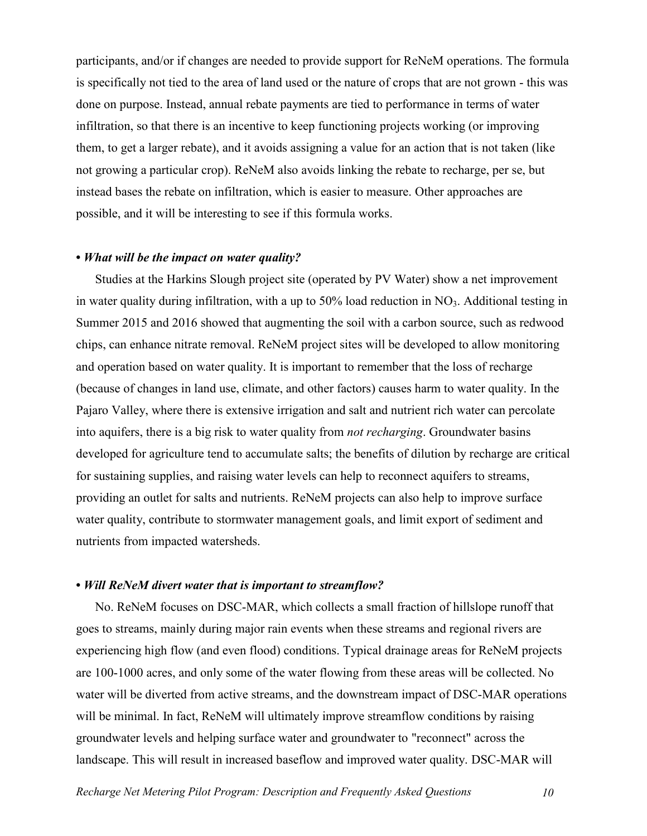participants, and/or if changes are needed to provide support for ReNeM operations. The formula is specifically not tied to the area of land used or the nature of crops that are not grown - this was done on purpose. Instead, annual rebate payments are tied to performance in terms of water infiltration, so that there is an incentive to keep functioning projects working (or improving them, to get a larger rebate), and it avoids assigning a value for an action that is not taken (like not growing a particular crop). ReNeM also avoids linking the rebate to recharge, per se, but instead bases the rebate on infiltration, which is easier to measure. Other approaches are possible, and it will be interesting to see if this formula works.

# **•** *What will be the impact on water quality?*

Studies at the Harkins Slough project site (operated by PV Water) show a net improvement in water quality during infiltration, with a up to  $50\%$  load reduction in NO<sub>3</sub>. Additional testing in Summer 2015 and 2016 showed that augmenting the soil with a carbon source, such as redwood chips, can enhance nitrate removal. ReNeM project sites will be developed to allow monitoring and operation based on water quality. It is important to remember that the loss of recharge (because of changes in land use, climate, and other factors) causes harm to water quality. In the Pajaro Valley, where there is extensive irrigation and salt and nutrient rich water can percolate into aquifers, there is a big risk to water quality from *not recharging*. Groundwater basins developed for agriculture tend to accumulate salts; the benefits of dilution by recharge are critical for sustaining supplies, and raising water levels can help to reconnect aquifers to streams, providing an outlet for salts and nutrients. ReNeM projects can also help to improve surface water quality, contribute to stormwater management goals, and limit export of sediment and nutrients from impacted watersheds.

### **•** *Will ReNeM divert water that is important to streamflow?*

No. ReNeM focuses on DSC-MAR, which collects a small fraction of hillslope runoff that goes to streams, mainly during major rain events when these streams and regional rivers are experiencing high flow (and even flood) conditions. Typical drainage areas for ReNeM projects are 100-1000 acres, and only some of the water flowing from these areas will be collected. No water will be diverted from active streams, and the downstream impact of DSC-MAR operations will be minimal. In fact, ReNeM will ultimately improve streamflow conditions by raising groundwater levels and helping surface water and groundwater to "reconnect" across the landscape. This will result in increased baseflow and improved water quality. DSC-MAR will